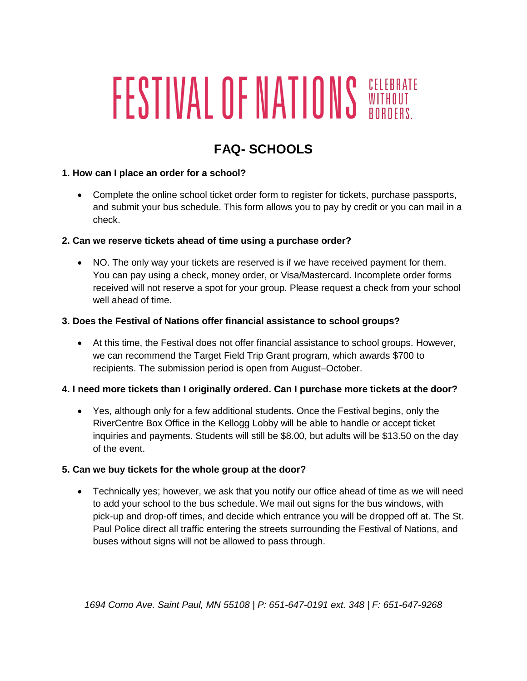# **FESTIVAL OF NATIONS SORDERS.**

## **FAQ- SCHOOLS**

#### **1. How can I place an order for a school?**

 Complete the online school ticket order form to register for tickets, purchase passports, and submit your bus schedule. This form allows you to pay by credit or you can mail in a check.

#### **2. Can we reserve tickets ahead of time using a purchase order?**

 NO. The only way your tickets are reserved is if we have received payment for them. You can pay using a check, money order, or Visa/Mastercard. Incomplete order forms received will not reserve a spot for your group. Please request a check from your school well ahead of time.

#### **3. Does the Festival of Nations offer financial assistance to school groups?**

 At this time, the Festival does not offer financial assistance to school groups. However, we can recommend the Target Field Trip Grant program, which awards \$700 to recipients. The submission period is open from August–October.

#### **4. I need more tickets than I originally ordered. Can I purchase more tickets at the door?**

 Yes, although only for a few additional students. Once the Festival begins, only the RiverCentre Box Office in the Kellogg Lobby will be able to handle or accept ticket inquiries and payments. Students will still be \$8.00, but adults will be \$13.50 on the day of the event.

#### **5. Can we buy tickets for the whole group at the door?**

 Technically yes; however, we ask that you notify our office ahead of time as we will need to add your school to the bus schedule. We mail out signs for the bus windows, with pick-up and drop-off times, and decide which entrance you will be dropped off at. The St. Paul Police direct all traffic entering the streets surrounding the Festival of Nations, and buses without signs will not be allowed to pass through.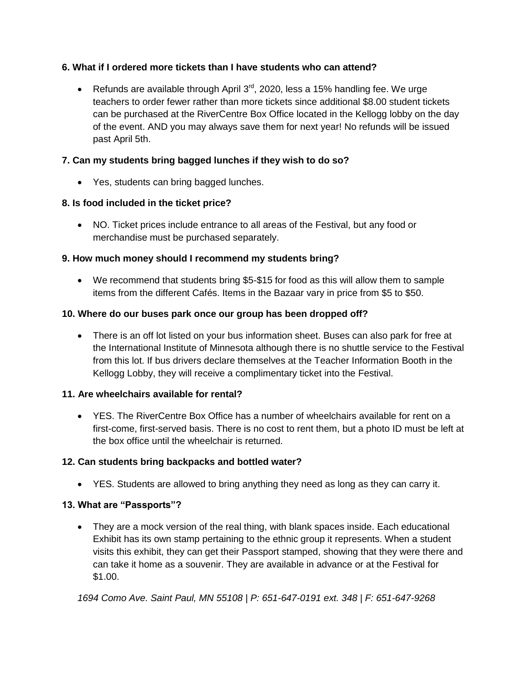#### **6. What if I ordered more tickets than I have students who can attend?**

Exercing 8 Refunds are available through April  $3<sup>rd</sup>$ , 2020, less a 15% handling fee. We urge teachers to order fewer rather than more tickets since additional \$8.00 student tickets can be purchased at the RiverCentre Box Office located in the Kellogg lobby on the day of the event. AND you may always save them for next year! No refunds will be issued past April 5th.

#### **7. Can my students bring bagged lunches if they wish to do so?**

Yes, students can bring bagged lunches.

#### **8. Is food included in the ticket price?**

 NO. Ticket prices include entrance to all areas of the Festival, but any food or merchandise must be purchased separately.

#### **9. How much money should I recommend my students bring?**

 We recommend that students bring \$5-\$15 for food as this will allow them to sample items from the different Cafés. Items in the Bazaar vary in price from \$5 to \$50.

#### **10. Where do our buses park once our group has been dropped off?**

 There is an off lot listed on your bus information sheet. Buses can also park for free at the International Institute of Minnesota although there is no shuttle service to the Festival from this lot. If bus drivers declare themselves at the Teacher Information Booth in the Kellogg Lobby, they will receive a complimentary ticket into the Festival.

#### **11. Are wheelchairs available for rental?**

 YES. The RiverCentre Box Office has a number of wheelchairs available for rent on a first-come, first-served basis. There is no cost to rent them, but a photo ID must be left at the box office until the wheelchair is returned.

#### **12. Can students bring backpacks and bottled water?**

YES. Students are allowed to bring anything they need as long as they can carry it.

#### **13. What are "Passports"?**

 They are a mock version of the real thing, with blank spaces inside. Each educational Exhibit has its own stamp pertaining to the ethnic group it represents. When a student visits this exhibit, they can get their Passport stamped, showing that they were there and can take it home as a souvenir. They are available in advance or at the Festival for \$1.00.

*1694 Como Ave. Saint Paul, MN 55108 | P: 651-647-0191 ext. 348 | F: 651-647-9268*